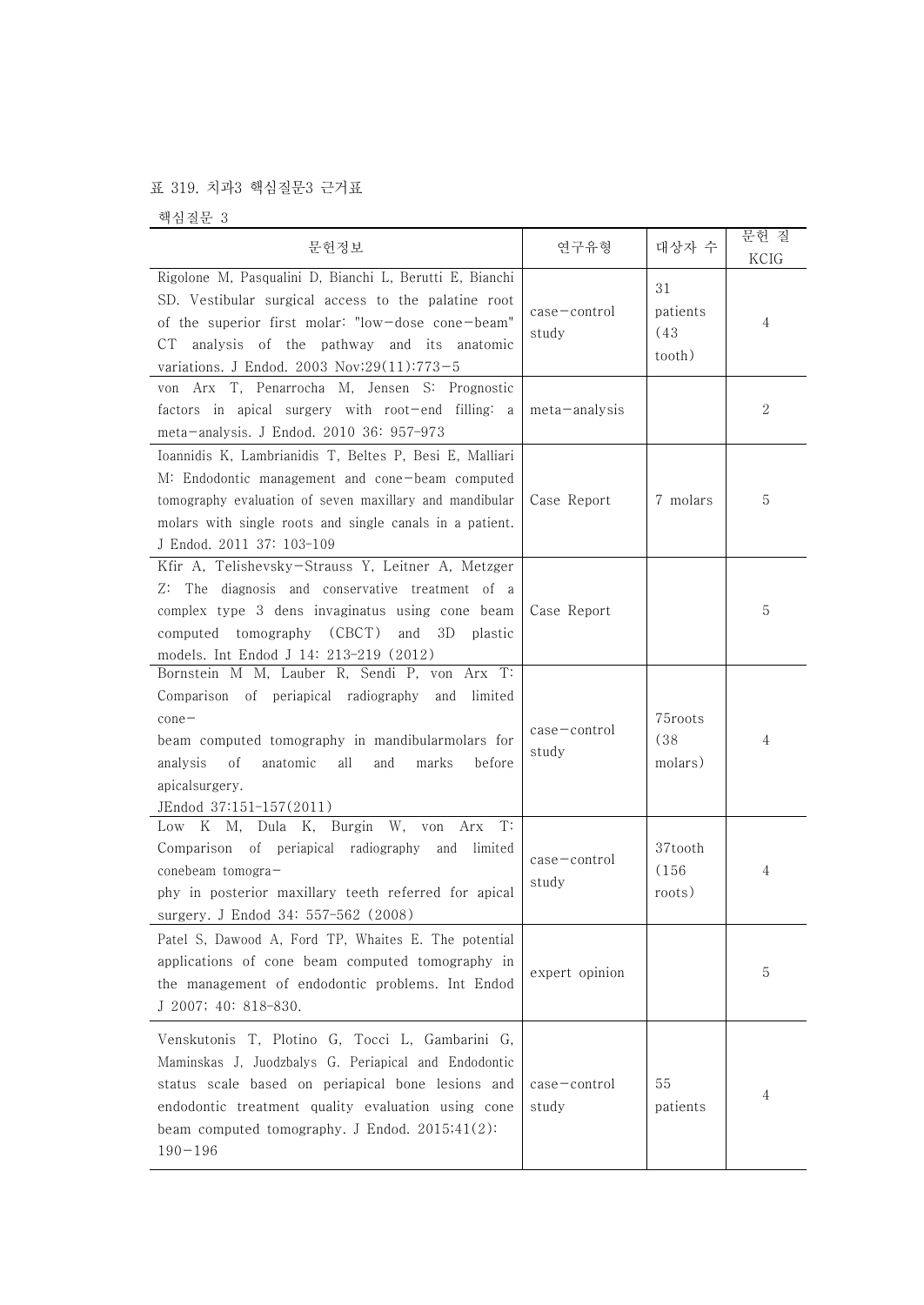## 표 319. 치과3 핵심질문3 근거표

핵심질문 3

| 문헌정보                                                                                                                                                                                                                                                                                   | 연구유형                        | 대상자 수                            | 문헌 질<br>KCIG |
|----------------------------------------------------------------------------------------------------------------------------------------------------------------------------------------------------------------------------------------------------------------------------------------|-----------------------------|----------------------------------|--------------|
| Rigolone M, Pasqualini D, Bianchi L, Berutti E, Bianchi<br>SD. Vestibular surgical access to the palatine root<br>of the superior first molar: "low-dose cone-beam"<br>CT analysis of the pathway and its anatomic<br>variations. J Endod. 2003 Nov;29(11):773-5                       | $case$ - $control$<br>study | 31<br>patients<br>(43)<br>tooth) | 4            |
| von Arx T, Penarrocha M, Jensen S: Prognostic<br>factors in apical surgery with root-end filling: a<br>meta-analysis. J Endod. 2010 36: 957-973                                                                                                                                        | meta-analysis               |                                  | 2            |
| Ioannidis K, Lambrianidis T, Beltes P, Besi E, Malliari<br>M: Endodontic management and cone-beam computed<br>tomography evaluation of seven maxillary and mandibular<br>molars with single roots and single canals in a patient.<br>J Endod. 2011 37: 103-109                         | Case Report                 | 7 molars                         | 5            |
| Kfir A, Telishevsky-Strauss Y, Leitner A, Metzger<br>Z: The diagnosis and conservative treatment of a<br>complex type 3 dens invaginatus using cone beam<br>computed tomography (CBCT)<br>and<br>3D<br>plastic<br>models. Int Endod J 14: 213-219 (2012)                               | Case Report                 |                                  | 5            |
| Bornstein M M, Lauber R, Sendi P, von Arx T:<br>Comparison of periapical radiography and<br>limited<br>$cone-$<br>beam computed tomography in mandibularmolars for<br>anatomic<br>analysis<br>οf<br>all<br>and<br>marks<br>before<br>apicalsurgery.<br>JEndod 37:151-157(2011)         | $case$ $ control$<br>study  | 75roots<br>(38)<br>molars)       | 4            |
| Low K M, Dula K, Burgin W, von<br>Arx<br>T:<br>Comparison of periapical radiography and limited<br>conebeam tomogra-<br>phy in posterior maxillary teeth referred for apical<br>surgery. J Endod 34: 557-562 (2008)                                                                    | $case$ - $control$<br>study | 37tooth<br>(156)<br>roots)       | 4            |
| Patel S, Dawood A, Ford TP, Whaites E. The potential<br>applications of cone beam computed tomography in<br>the management of endodontic problems. Int Endod<br>J 2007; 40: 818-830.                                                                                                   | expert opinion              |                                  | 5            |
| Venskutonis T, Plotino G, Tocci L, Gambarini G,<br>Maminskas J, Juodzbalys G. Periapical and Endodontic<br>status scale based on periapical bone lesions and<br>endodontic treatment quality evaluation using cone<br>beam computed tomography. J Endod. $2015;41(2)$ :<br>$190 - 196$ | $case$ - $control$<br>study | 55<br>patients                   | 4            |